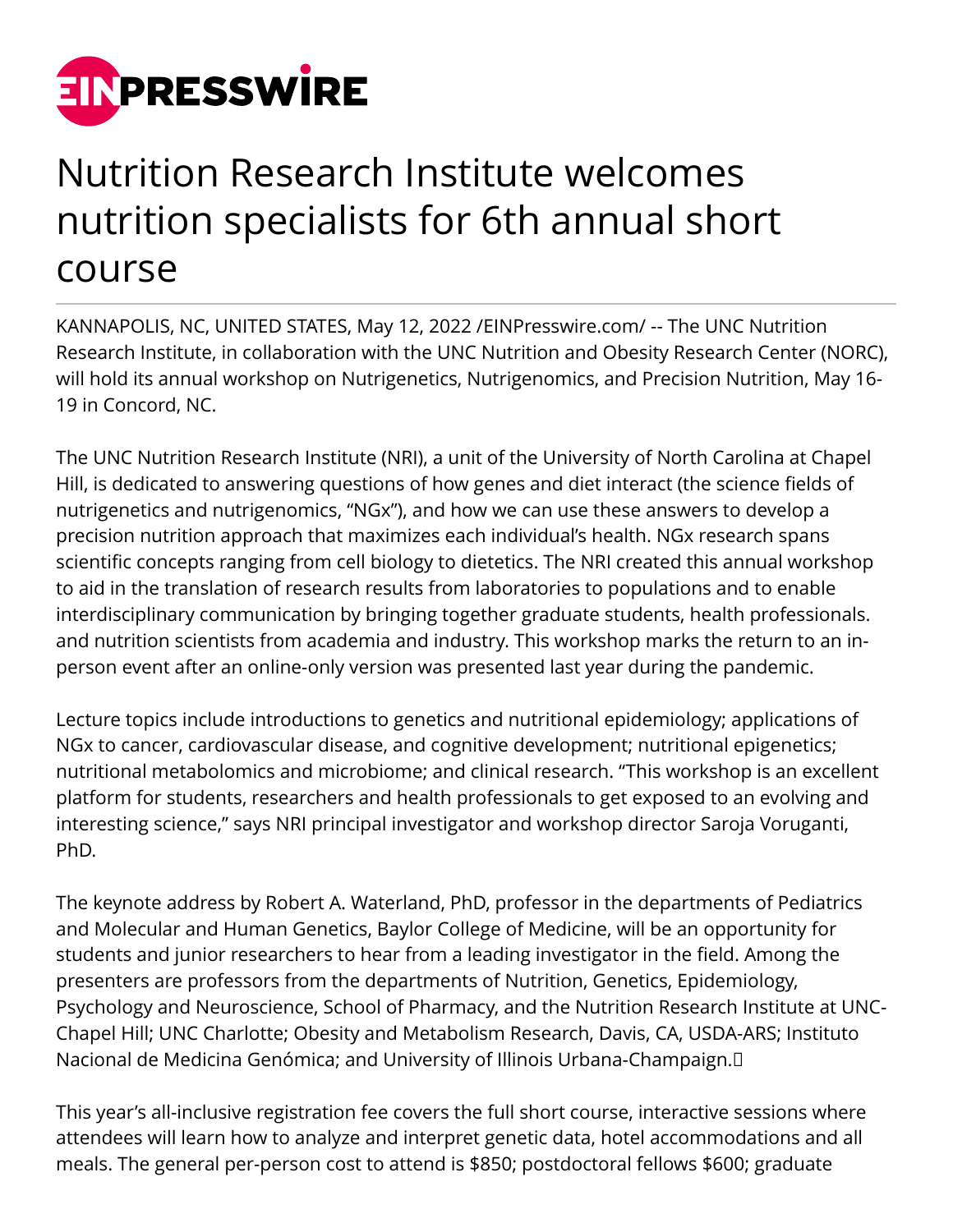

## Nutrition Research Institute welcomes nutrition specialists for 6th annual short course

KANNAPOLIS, NC, UNITED STATES, May 12, 2022 /[EINPresswire.com/](http://www.einpresswire.com) -- The UNC Nutrition Research Institute, in collaboration with the UNC Nutrition and Obesity Research Center (NORC), will hold its annual workshop on Nutrigenetics, Nutrigenomics, and Precision Nutrition, May 16- 19 in Concord, NC.

The UNC Nutrition Research Institute (NRI), a unit of the University of North Carolina at Chapel Hill, is dedicated to answering questions of how genes and diet interact (the science fields of nutrigenetics and nutrigenomics, "NGx"), and how we can use these answers to develop a precision nutrition approach that maximizes each individual's health. NGx research spans scientific concepts ranging from cell biology to dietetics. The NRI created this annual workshop to aid in the translation of research results from laboratories to populations and to enable interdisciplinary communication by bringing together graduate students, health professionals. and nutrition scientists from academia and industry. This workshop marks the return to an inperson event after an online-only version was presented last year during the pandemic.

Lecture topics include introductions to genetics and nutritional epidemiology; applications of NGx to cancer, cardiovascular disease, and cognitive development; nutritional epigenetics; nutritional metabolomics and microbiome; and clinical research. "This workshop is an excellent platform for students, researchers and health professionals to get exposed to an evolving and interesting science," says NRI principal investigator and workshop director Saroja Voruganti, PhD.

The keynote address by Robert A. Waterland, PhD, professor in the departments of Pediatrics and Molecular and Human Genetics, Baylor College of Medicine, will be an opportunity for students and junior researchers to hear from a leading investigator in the field. Among the presenters are professors from the departments of Nutrition, Genetics, Epidemiology, Psychology and Neuroscience, School of Pharmacy, and the Nutrition Research Institute at UNC-Chapel Hill; UNC Charlotte; Obesity and Metabolism Research, Davis, CA, USDA-ARS; Instituto Nacional de Medicina Genómica; and University of Illinois Urbana-Champaign. 

This year's all-inclusive registration fee covers the full short course, interactive sessions where attendees will learn how to analyze and interpret genetic data, hotel accommodations and all meals. The general per-person cost to attend is \$850; postdoctoral fellows \$600; graduate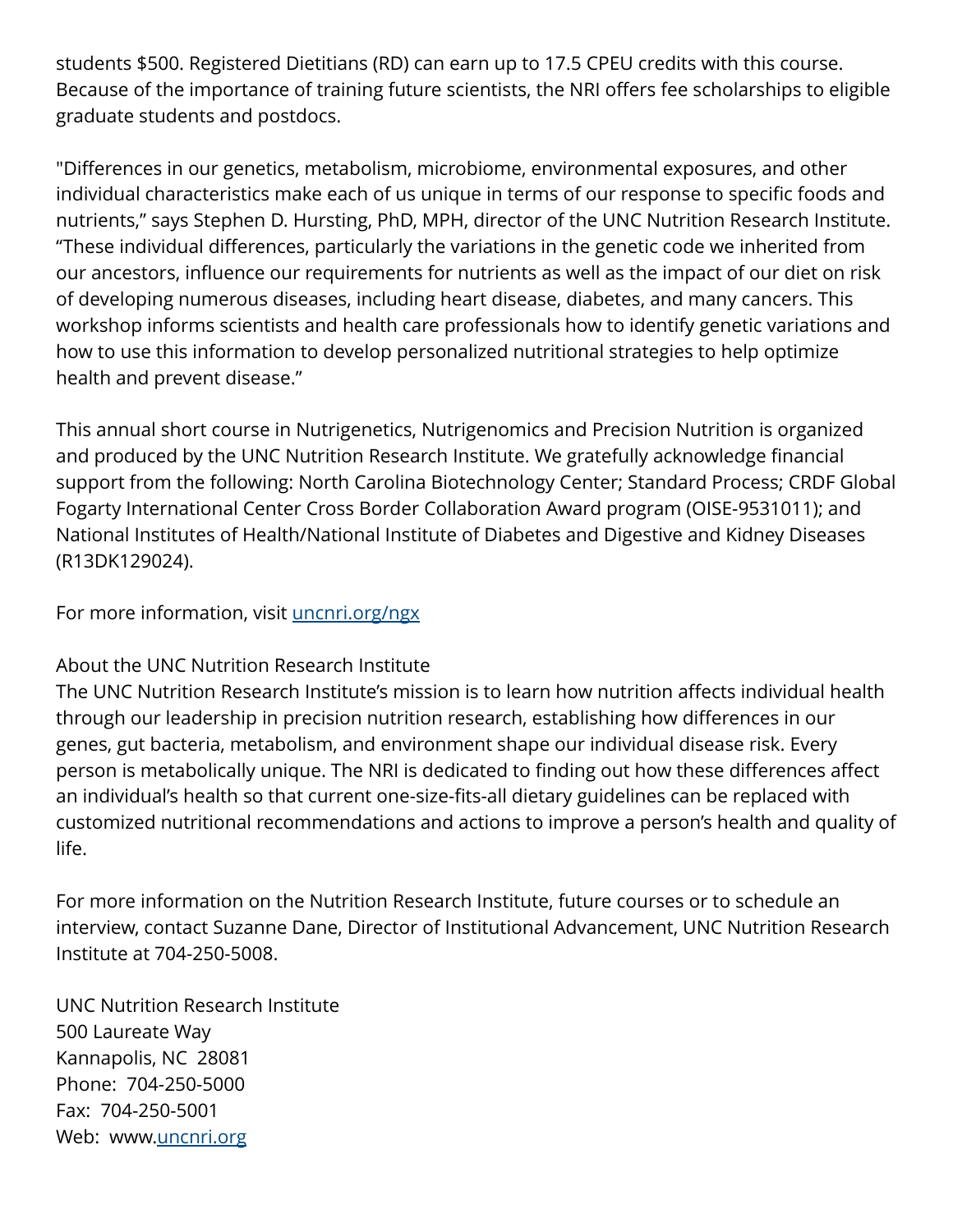students \$500. Registered Dietitians (RD) can earn up to 17.5 CPEU credits with this course. Because of the importance of training future scientists, the NRI offers fee scholarships to eligible graduate students and postdocs.

"Differences in our genetics, metabolism, microbiome, environmental exposures, and other individual characteristics make each of us unique in terms of our response to specific foods and nutrients," says Stephen D. Hursting, PhD, MPH, director of the UNC Nutrition Research Institute. "These individual differences, particularly the variations in the genetic code we inherited from our ancestors, influence our requirements for nutrients as well as the impact of our diet on risk of developing numerous diseases, including heart disease, diabetes, and many cancers. This workshop informs scientists and health care professionals how to identify genetic variations and how to use this information to develop personalized nutritional strategies to help optimize health and prevent disease."

This annual short course in Nutrigenetics, Nutrigenomics and Precision Nutrition is organized and produced by the UNC Nutrition Research Institute. We gratefully acknowledge financial support from the following: North Carolina Biotechnology Center; Standard Process; CRDF Global Fogarty International Center Cross Border Collaboration Award program (OISE-9531011); and National Institutes of Health/National Institute of Diabetes and Digestive and Kidney Diseases (R13DK129024).

For more information, visit [uncnri.org/ngx](https://uncnri.org/ngx/)

## About the UNC Nutrition Research Institute

The UNC Nutrition Research Institute's mission is to learn how nutrition affects individual health through our leadership in precision nutrition research, establishing how differences in our genes, gut bacteria, metabolism, and environment shape our individual disease risk. Every person is metabolically unique. The NRI is dedicated to finding out how these differences affect an individual's health so that current one-size-fits-all dietary guidelines can be replaced with customized nutritional recommendations and actions to improve a person's health and quality of life.

For more information on the Nutrition Research Institute, future courses or to schedule an interview, contact Suzanne Dane, Director of Institutional Advancement, UNC Nutrition Research Institute at 704-250-5008.

UNC Nutrition Research Institute 500 Laureate Way Kannapolis, NC 28081 Phone: 704-250-5000 Fax: 704-250-5001 Web: www[.uncnri.org](http://www.uncnri.org/)